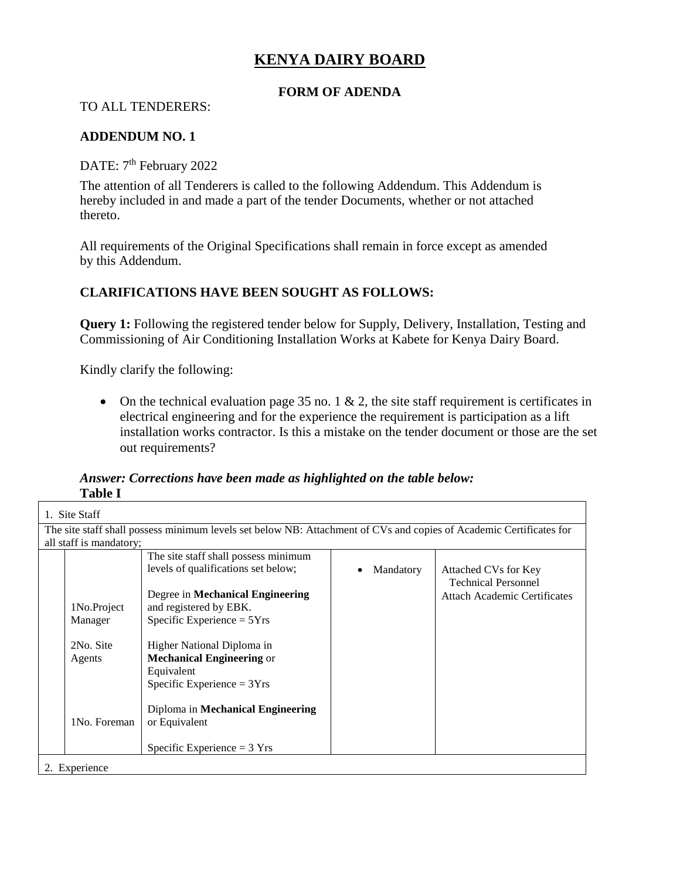# **KENYA DAIRY BOARD**

## **FORM OF ADENDA**

TO ALL TENDERERS:

#### **ADDENDUM NO. 1**

DATE: 7<sup>th</sup> February 2022

The attention of all Tenderers is called to the following Addendum. This Addendum is hereby included in and made a part of the tender Documents, whether or not attached thereto.

All requirements of the Original Specifications shall remain in force except as amended by this Addendum.

## **CLARIFICATIONS HAVE BEEN SOUGHT AS FOLLOWS:**

**Query 1:** Following the registered tender below for Supply, Delivery, Installation, Testing and Commissioning of Air Conditioning Installation Works at Kabete for Kenya Dairy Board.

Kindly clarify the following:

• On the technical evaluation page 35 no. 1  $\&$  2, the site staff requirement is certificates in electrical engineering and for the experience the requirement is participation as a lift installation works contractor. Is this a mistake on the tender document or those are the set out requirements?

*Answer: Corrections have been made as highlighted on the table below:* **Table I**

| 1. Site Staff                                                                                                       |                                      |           |                                                    |  |  |  |
|---------------------------------------------------------------------------------------------------------------------|--------------------------------------|-----------|----------------------------------------------------|--|--|--|
| The site staff shall possess minimum levels set below NB: Attachment of CVs and copies of Academic Certificates for |                                      |           |                                                    |  |  |  |
| all staff is mandatory;                                                                                             |                                      |           |                                                    |  |  |  |
|                                                                                                                     | The site staff shall possess minimum |           |                                                    |  |  |  |
|                                                                                                                     | levels of qualifications set below;  | Mandatory | Attached CVs for Key<br><b>Technical Personnel</b> |  |  |  |
|                                                                                                                     | Degree in Mechanical Engineering     |           | <b>Attach Academic Certificates</b>                |  |  |  |
| 1No.Project                                                                                                         | and registered by EBK.               |           |                                                    |  |  |  |
| Manager                                                                                                             | Specific Experience $= 5Yrs$         |           |                                                    |  |  |  |
|                                                                                                                     |                                      |           |                                                    |  |  |  |
| 2No. Site                                                                                                           | Higher National Diploma in           |           |                                                    |  |  |  |
| Agents                                                                                                              | <b>Mechanical Engineering or</b>     |           |                                                    |  |  |  |
|                                                                                                                     | Equivalent                           |           |                                                    |  |  |  |
|                                                                                                                     | Specific Experience = $3Yrs$         |           |                                                    |  |  |  |
|                                                                                                                     |                                      |           |                                                    |  |  |  |
|                                                                                                                     | Diploma in Mechanical Engineering    |           |                                                    |  |  |  |
| 1No. Foreman                                                                                                        | or Equivalent                        |           |                                                    |  |  |  |
|                                                                                                                     |                                      |           |                                                    |  |  |  |
|                                                                                                                     | Specific Experience $=$ 3 Yrs        |           |                                                    |  |  |  |
| 2. Experience                                                                                                       |                                      |           |                                                    |  |  |  |
|                                                                                                                     |                                      |           |                                                    |  |  |  |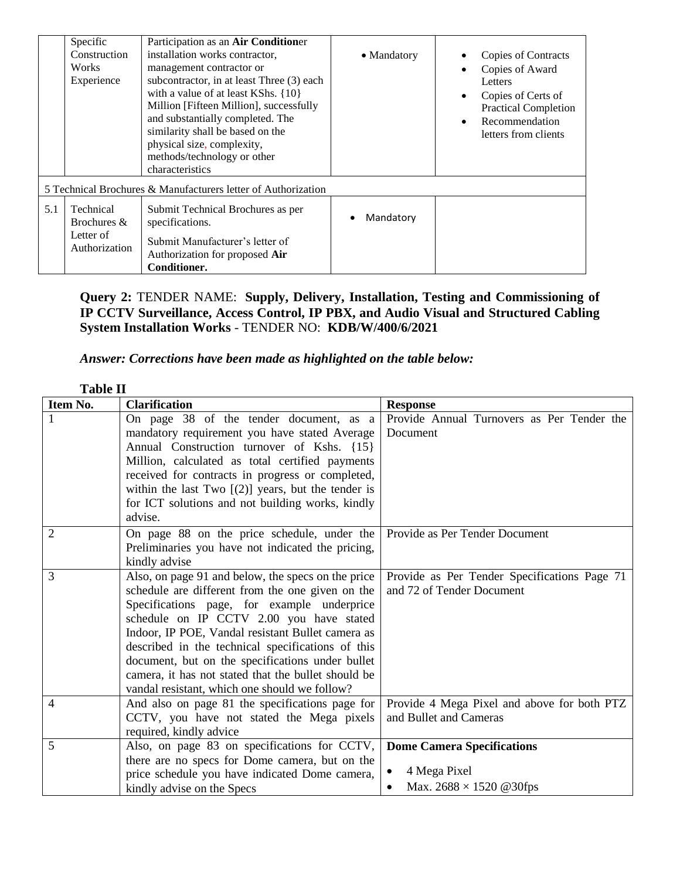|                                                               | Specific                                                 | Participation as an Air Conditioner                                                                                                                                                                                                                                                                                                               |             |                                                                                                                                                                            |  |  |
|---------------------------------------------------------------|----------------------------------------------------------|---------------------------------------------------------------------------------------------------------------------------------------------------------------------------------------------------------------------------------------------------------------------------------------------------------------------------------------------------|-------------|----------------------------------------------------------------------------------------------------------------------------------------------------------------------------|--|--|
|                                                               | Construction<br>Works<br>Experience                      | installation works contractor,<br>management contractor or<br>subcontractor, in at least Three (3) each<br>with a value of at least KShs. {10}<br>Million [Fifteen Million], successfully<br>and substantially completed. The<br>similarity shall be based on the<br>physical size, complexity,<br>methods/technology or other<br>characteristics | • Mandatory | Copies of Contracts<br>Copies of Award<br>Letters<br>Copies of Certs of<br>$\bullet$<br><b>Practical Completion</b><br>Recommendation<br>$\bullet$<br>letters from clients |  |  |
| 5 Technical Brochures & Manufacturers letter of Authorization |                                                          |                                                                                                                                                                                                                                                                                                                                                   |             |                                                                                                                                                                            |  |  |
| 5.1                                                           | Technical<br>Brochures $&$<br>Letter of<br>Authorization | Submit Technical Brochures as per<br>specifications.<br>Submit Manufacturer's letter of<br>Authorization for proposed Air<br>Conditioner.                                                                                                                                                                                                         | Mandatory   |                                                                                                                                                                            |  |  |

## **Query 2:** TENDER NAME: **Supply, Delivery, Installation, Testing and Commissioning of IP CCTV Surveillance, Access Control, IP PBX, and Audio Visual and Structured Cabling System Installation Works** - TENDER NO: **KDB/W/400/6/2021**

## *Answer: Corrections have been made as highlighted on the table below:*

| <b>Table II</b> |                                                                                                                                                                                                                                                                                                                                                                                                                                                                         |                                                                                                       |  |
|-----------------|-------------------------------------------------------------------------------------------------------------------------------------------------------------------------------------------------------------------------------------------------------------------------------------------------------------------------------------------------------------------------------------------------------------------------------------------------------------------------|-------------------------------------------------------------------------------------------------------|--|
| Item No.        | <b>Clarification</b>                                                                                                                                                                                                                                                                                                                                                                                                                                                    | <b>Response</b>                                                                                       |  |
| 1               | On page 38 of the tender document, as a<br>mandatory requirement you have stated Average<br>Annual Construction turnover of Kshs. {15}<br>Million, calculated as total certified payments<br>received for contracts in progress or completed,<br>within the last Two $[(2)]$ years, but the tender is<br>for ICT solutions and not building works, kindly<br>advise.                                                                                                    | Provide Annual Turnovers as Per Tender the<br>Document                                                |  |
| 2               | On page 88 on the price schedule, under the<br>Preliminaries you have not indicated the pricing,<br>kindly advise                                                                                                                                                                                                                                                                                                                                                       | Provide as Per Tender Document                                                                        |  |
| 3               | Also, on page 91 and below, the specs on the price<br>schedule are different from the one given on the<br>Specifications page, for example underprice<br>schedule on IP CCTV 2.00 you have stated<br>Indoor, IP POE, Vandal resistant Bullet camera as<br>described in the technical specifications of this<br>document, but on the specifications under bullet<br>camera, it has not stated that the bullet should be<br>vandal resistant, which one should we follow? | Provide as Per Tender Specifications Page 71<br>and 72 of Tender Document                             |  |
| 4               | And also on page 81 the specifications page for<br>CCTV, you have not stated the Mega pixels<br>required, kindly advice                                                                                                                                                                                                                                                                                                                                                 | Provide 4 Mega Pixel and above for both PTZ<br>and Bullet and Cameras                                 |  |
| 5               | Also, on page 83 on specifications for CCTV,<br>there are no specs for Dome camera, but on the<br>price schedule you have indicated Dome camera,<br>kindly advise on the Specs                                                                                                                                                                                                                                                                                          | <b>Dome Camera Specifications</b><br>4 Mega Pixel<br>$\bullet$<br>Max. $2688 \times 1520$ @30fps<br>٠ |  |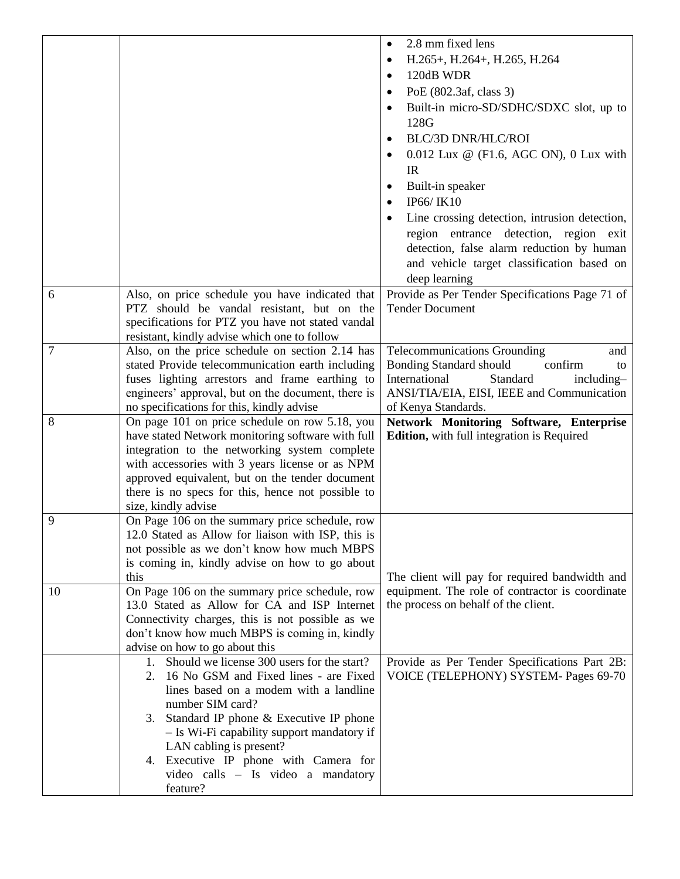|                |                                                                                                 | 2.8 mm fixed lens<br>$\bullet$                                    |
|----------------|-------------------------------------------------------------------------------------------------|-------------------------------------------------------------------|
|                |                                                                                                 | H.265+, H.264+, H.265, H.264                                      |
|                |                                                                                                 | 120dB WDR                                                         |
|                |                                                                                                 | PoE (802.3af, class 3)                                            |
|                |                                                                                                 | Built-in micro-SD/SDHC/SDXC slot, up to                           |
|                |                                                                                                 | 128G                                                              |
|                |                                                                                                 | <b>BLC/3D DNR/HLC/ROI</b>                                         |
|                |                                                                                                 |                                                                   |
|                |                                                                                                 | $0.012$ Lux @ (F1.6, AGC ON), 0 Lux with                          |
|                |                                                                                                 | IR                                                                |
|                |                                                                                                 | Built-in speaker                                                  |
|                |                                                                                                 | IP66/IK10                                                         |
|                |                                                                                                 | Line crossing detection, intrusion detection,                     |
|                |                                                                                                 | region entrance detection, region exit                            |
|                |                                                                                                 | detection, false alarm reduction by human                         |
|                |                                                                                                 | and vehicle target classification based on                        |
|                |                                                                                                 | deep learning                                                     |
| 6              | Also, on price schedule you have indicated that                                                 | Provide as Per Tender Specifications Page 71 of                   |
|                | PTZ should be vandal resistant, but on the                                                      | <b>Tender Document</b>                                            |
|                | specifications for PTZ you have not stated vandal                                               |                                                                   |
|                | resistant, kindly advise which one to follow                                                    |                                                                   |
| $\overline{7}$ | Also, on the price schedule on section 2.14 has                                                 | <b>Telecommunications Grounding</b><br>and                        |
|                | stated Provide telecommunication earth including                                                | <b>Bonding Standard should</b><br>confirm<br>to                   |
|                | fuses lighting arrestors and frame earthing to                                                  | International<br>Standard<br>including-                           |
|                | engineers' approval, but on the document, there is<br>no specifications for this, kindly advise | ANSI/TIA/EIA, EISI, IEEE and Communication<br>of Kenya Standards. |
|                |                                                                                                 |                                                                   |
|                |                                                                                                 |                                                                   |
| 8              | On page 101 on price schedule on row 5.18, you                                                  | Network Monitoring Software, Enterprise                           |
|                | have stated Network monitoring software with full                                               | Edition, with full integration is Required                        |
|                | integration to the networking system complete                                                   |                                                                   |
|                | with accessories with 3 years license or as NPM                                                 |                                                                   |
|                | approved equivalent, but on the tender document                                                 |                                                                   |
|                | there is no specs for this, hence not possible to<br>size, kindly advise                        |                                                                   |
| 9              | On Page 106 on the summary price schedule, row                                                  |                                                                   |
|                | 12.0 Stated as Allow for liaison with ISP, this is                                              |                                                                   |
|                | not possible as we don't know how much MBPS                                                     |                                                                   |
|                | is coming in, kindly advise on how to go about                                                  |                                                                   |
|                | this                                                                                            | The client will pay for required bandwidth and                    |
| 10             | On Page 106 on the summary price schedule, row                                                  | equipment. The role of contractor is coordinate                   |
|                | 13.0 Stated as Allow for CA and ISP Internet                                                    | the process on behalf of the client.                              |
|                | Connectivity charges, this is not possible as we                                                |                                                                   |
|                | don't know how much MBPS is coming in, kindly                                                   |                                                                   |
|                | advise on how to go about this                                                                  |                                                                   |
|                | 1. Should we license 300 users for the start?                                                   | Provide as Per Tender Specifications Part 2B:                     |
|                | 16 No GSM and Fixed lines - are Fixed<br>2.                                                     | VOICE (TELEPHONY) SYSTEM- Pages 69-70                             |
|                | lines based on a modem with a landline                                                          |                                                                   |
|                | number SIM card?                                                                                |                                                                   |
|                | 3. Standard IP phone & Executive IP phone                                                       |                                                                   |
|                | - Is Wi-Fi capability support mandatory if<br>LAN cabling is present?                           |                                                                   |
|                | 4. Executive IP phone with Camera for                                                           |                                                                   |
|                | video calls - Is video a mandatory                                                              |                                                                   |